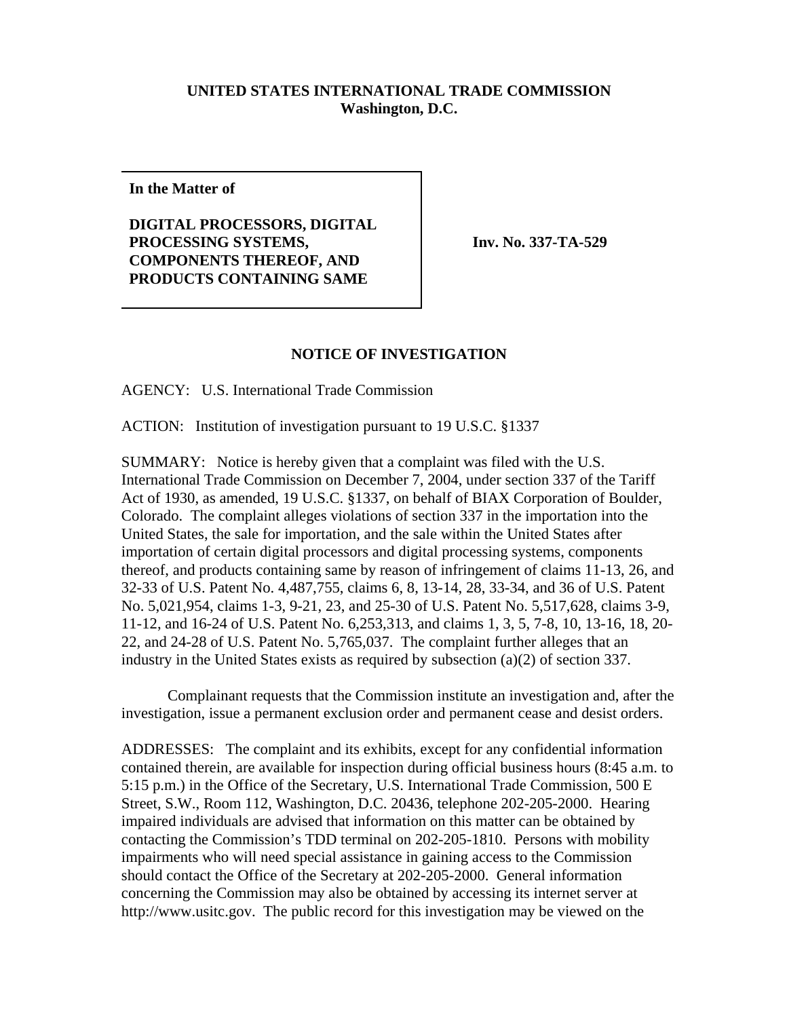## **UNITED STATES INTERNATIONAL TRADE COMMISSION Washington, D.C.**

**In the Matter of**

**DIGITAL PROCESSORS, DIGITAL PROCESSING SYSTEMS, COMPONENTS THEREOF, AND PRODUCTS CONTAINING SAME** 

**Inv. No. 337-TA-529** 

## **NOTICE OF INVESTIGATION**

AGENCY: U.S. International Trade Commission

ACTION: Institution of investigation pursuant to 19 U.S.C. §1337

SUMMARY: Notice is hereby given that a complaint was filed with the U.S. International Trade Commission on December 7, 2004, under section 337 of the Tariff Act of 1930, as amended, 19 U.S.C. §1337, on behalf of BIAX Corporation of Boulder, Colorado. The complaint alleges violations of section 337 in the importation into the United States, the sale for importation, and the sale within the United States after importation of certain digital processors and digital processing systems, components thereof, and products containing same by reason of infringement of claims 11-13, 26, and 32-33 of U.S. Patent No. 4,487,755, claims 6, 8, 13-14, 28, 33-34, and 36 of U.S. Patent No. 5,021,954, claims 1-3, 9-21, 23, and 25-30 of U.S. Patent No. 5,517,628, claims 3-9, 11-12, and 16-24 of U.S. Patent No. 6,253,313, and claims 1, 3, 5, 7-8, 10, 13-16, 18, 20- 22, and 24-28 of U.S. Patent No. 5,765,037. The complaint further alleges that an industry in the United States exists as required by subsection (a)(2) of section 337.

Complainant requests that the Commission institute an investigation and, after the investigation, issue a permanent exclusion order and permanent cease and desist orders.

ADDRESSES: The complaint and its exhibits, except for any confidential information contained therein, are available for inspection during official business hours (8:45 a.m. to 5:15 p.m.) in the Office of the Secretary, U.S. International Trade Commission, 500 E Street, S.W., Room 112, Washington, D.C. 20436, telephone 202-205-2000. Hearing impaired individuals are advised that information on this matter can be obtained by contacting the Commission's TDD terminal on 202-205-1810. Persons with mobility impairments who will need special assistance in gaining access to the Commission should contact the Office of the Secretary at 202-205-2000. General information concerning the Commission may also be obtained by accessing its internet server at http://www.usitc.gov. The public record for this investigation may be viewed on the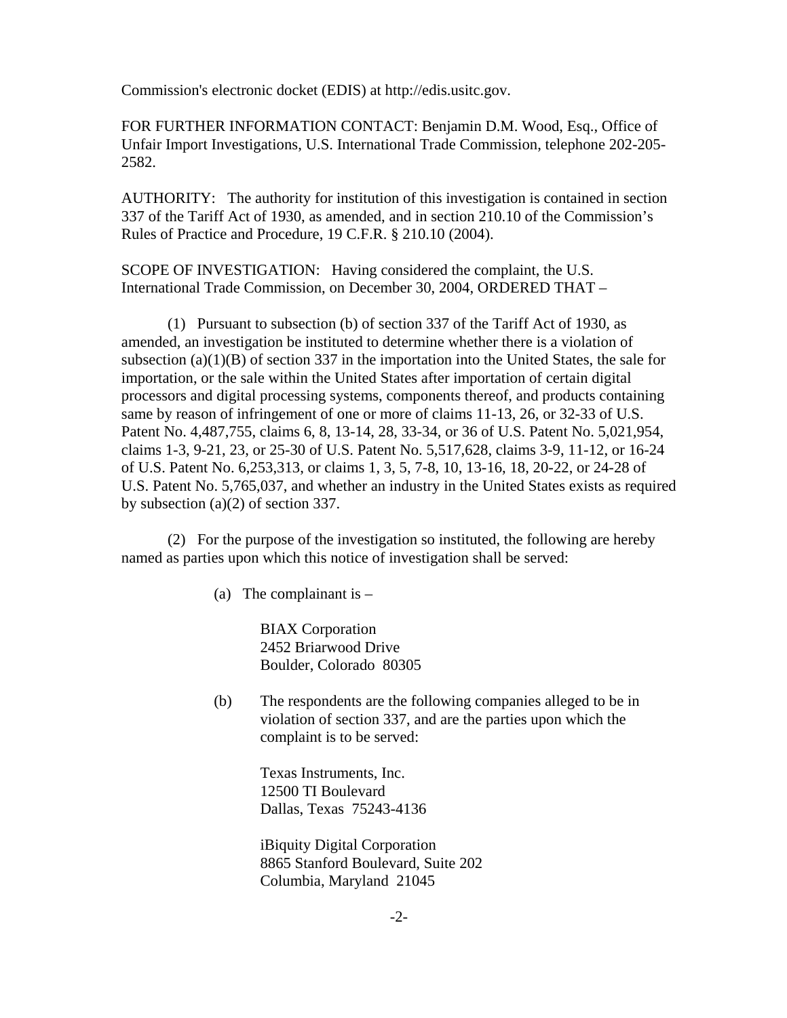Commission's electronic docket (EDIS) at http://edis.usitc.gov.

FOR FURTHER INFORMATION CONTACT: Benjamin D.M. Wood, Esq., Office of Unfair Import Investigations, U.S. International Trade Commission, telephone 202-205- 2582.

AUTHORITY: The authority for institution of this investigation is contained in section 337 of the Tariff Act of 1930, as amended, and in section 210.10 of the Commission's Rules of Practice and Procedure, 19 C.F.R. § 210.10 (2004).

SCOPE OF INVESTIGATION: Having considered the complaint, the U.S. International Trade Commission, on December 30, 2004, ORDERED THAT –

(1) Pursuant to subsection (b) of section 337 of the Tariff Act of 1930, as amended, an investigation be instituted to determine whether there is a violation of subsection (a) $(1)(B)$  of section 337 in the importation into the United States, the sale for importation, or the sale within the United States after importation of certain digital processors and digital processing systems, components thereof, and products containing same by reason of infringement of one or more of claims 11-13, 26, or 32-33 of U.S. Patent No. 4,487,755, claims 6, 8, 13-14, 28, 33-34, or 36 of U.S. Patent No. 5,021,954, claims 1-3, 9-21, 23, or 25-30 of U.S. Patent No. 5,517,628, claims 3-9, 11-12, or 16-24 of U.S. Patent No. 6,253,313, or claims 1, 3, 5, 7-8, 10, 13-16, 18, 20-22, or 24-28 of U.S. Patent No. 5,765,037, and whether an industry in the United States exists as required by subsection (a)(2) of section 337.

(2) For the purpose of the investigation so instituted, the following are hereby named as parties upon which this notice of investigation shall be served:

(a) The complainant is  $-$ 

BIAX Corporation 2452 Briarwood Drive Boulder, Colorado 80305

(b) The respondents are the following companies alleged to be in violation of section 337, and are the parties upon which the complaint is to be served:

> Texas Instruments, Inc. 12500 TI Boulevard Dallas, Texas 75243-4136

iBiquity Digital Corporation 8865 Stanford Boulevard, Suite 202 Columbia, Maryland 21045